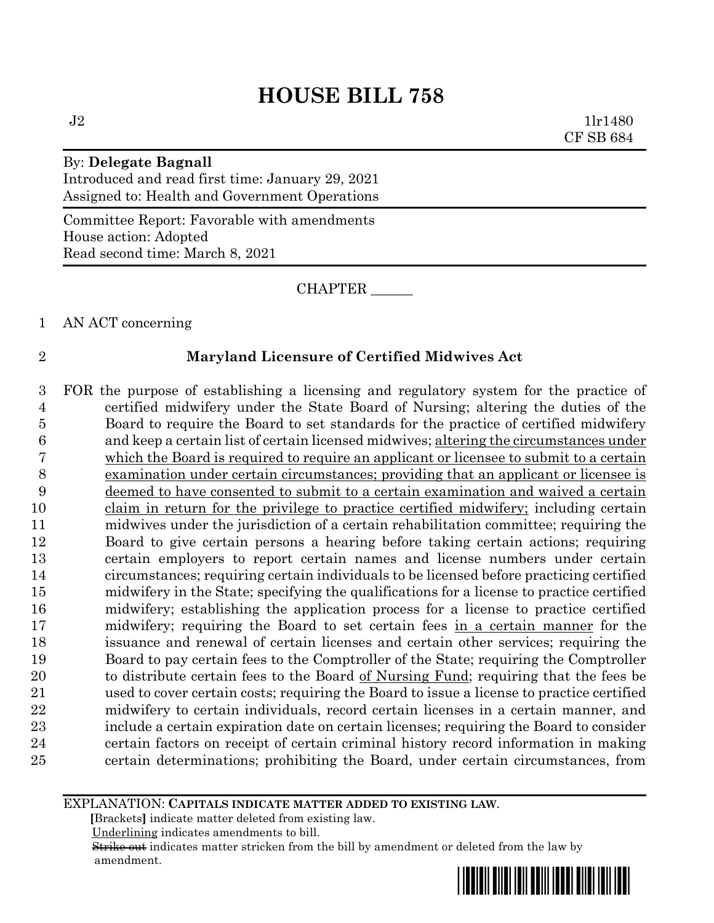$J2 \t1lr1480$ CF SB 684

# By: **Delegate Bagnall** Introduced and read first time: January 29, 2021 Assigned to: Health and Government Operations

Committee Report: Favorable with amendments House action: Adopted Read second time: March 8, 2021

CHAPTER \_\_\_\_\_\_

1 AN ACT concerning

# 2 **Maryland Licensure of Certified Midwives Act**

 FOR the purpose of establishing a licensing and regulatory system for the practice of certified midwifery under the State Board of Nursing; altering the duties of the Board to require the Board to set standards for the practice of certified midwifery and keep a certain list of certain licensed midwives; altering the circumstances under which the Board is required to require an applicant or licensee to submit to a certain examination under certain circumstances; providing that an applicant or licensee is deemed to have consented to submit to a certain examination and waived a certain claim in return for the privilege to practice certified midwifery; including certain midwives under the jurisdiction of a certain rehabilitation committee; requiring the Board to give certain persons a hearing before taking certain actions; requiring certain employers to report certain names and license numbers under certain circumstances; requiring certain individuals to be licensed before practicing certified midwifery in the State; specifying the qualifications for a license to practice certified midwifery; establishing the application process for a license to practice certified midwifery; requiring the Board to set certain fees in a certain manner for the issuance and renewal of certain licenses and certain other services; requiring the Board to pay certain fees to the Comptroller of the State; requiring the Comptroller 20 to distribute certain fees to the Board of Nursing Fund; requiring that the fees be used to cover certain costs; requiring the Board to issue a license to practice certified midwifery to certain individuals, record certain licenses in a certain manner, and include a certain expiration date on certain licenses; requiring the Board to consider certain factors on receipt of certain criminal history record information in making certain determinations; prohibiting the Board, under certain circumstances, from

#### EXPLANATION: **CAPITALS INDICATE MATTER ADDED TO EXISTING LAW**.

 **[**Brackets**]** indicate matter deleted from existing law.

Underlining indicates amendments to bill.

 Strike out indicates matter stricken from the bill by amendment or deleted from the law by amendment.

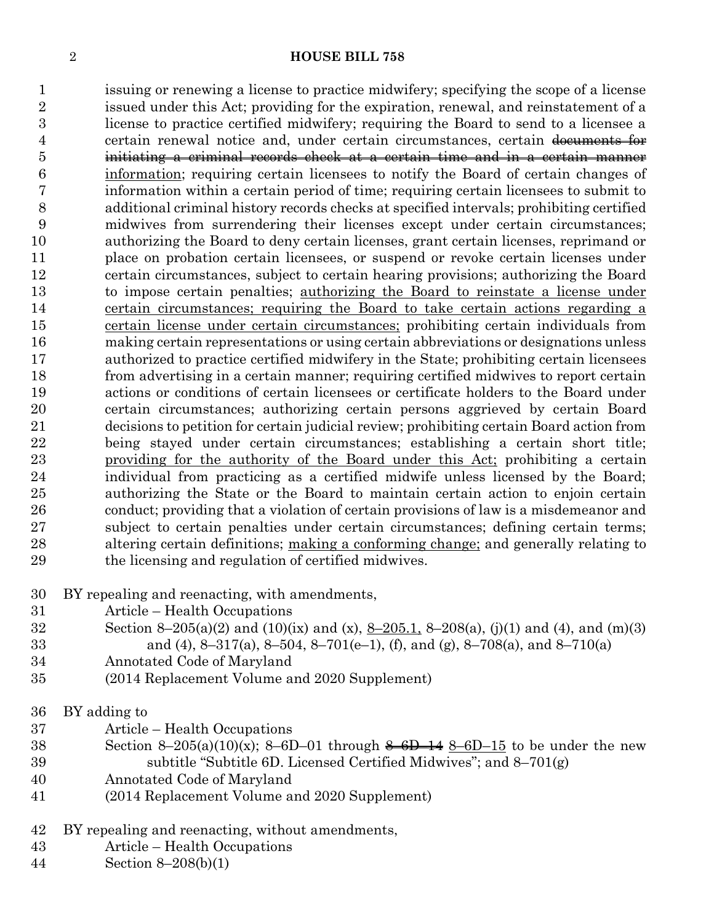issuing or renewing a license to practice midwifery; specifying the scope of a license issued under this Act; providing for the expiration, renewal, and reinstatement of a license to practice certified midwifery; requiring the Board to send to a licensee a 4 certain renewal notice and, under certain circumstances, certain documents for initiating a criminal records check at a certain time and in a certain manner information; requiring certain licensees to notify the Board of certain changes of information within a certain period of time; requiring certain licensees to submit to additional criminal history records checks at specified intervals; prohibiting certified midwives from surrendering their licenses except under certain circumstances; authorizing the Board to deny certain licenses, grant certain licenses, reprimand or place on probation certain licensees, or suspend or revoke certain licenses under certain circumstances, subject to certain hearing provisions; authorizing the Board to impose certain penalties; authorizing the Board to reinstate a license under certain circumstances; requiring the Board to take certain actions regarding a certain license under certain circumstances; prohibiting certain individuals from making certain representations or using certain abbreviations or designations unless authorized to practice certified midwifery in the State; prohibiting certain licensees from advertising in a certain manner; requiring certified midwives to report certain actions or conditions of certain licensees or certificate holders to the Board under certain circumstances; authorizing certain persons aggrieved by certain Board decisions to petition for certain judicial review; prohibiting certain Board action from being stayed under certain circumstances; establishing a certain short title; providing for the authority of the Board under this Act; prohibiting a certain individual from practicing as a certified midwife unless licensed by the Board; authorizing the State or the Board to maintain certain action to enjoin certain conduct; providing that a violation of certain provisions of law is a misdemeanor and subject to certain penalties under certain circumstances; defining certain terms; altering certain definitions; making a conforming change; and generally relating to the licensing and regulation of certified midwives.

- BY repealing and reenacting, with amendments,
- Article Health Occupations
- 32 Section 8–205(a)(2) and (10)(ix) and (x),  $8-205.1$ ,  $8-208(a)$ , (j)(1) and (4), and (m)(3) and (4), 8–317(a), 8–504, 8–701(e–1), (f), and (g), 8–708(a), and 8–710(a)
- Annotated Code of Maryland
- (2014 Replacement Volume and 2020 Supplement)
- BY adding to
- Article Health Occupations
- 38 Section 8–205(a)(10)(x); 8–6D–01 through  $\frac{1}{2}$  -6D–15 to be under the new subtitle "Subtitle 6D. Licensed Certified Midwives"; and 8–701(g)
- Annotated Code of Maryland
- (2014 Replacement Volume and 2020 Supplement)
- BY repealing and reenacting, without amendments,
- Article Health Occupations
- Section 8–208(b)(1)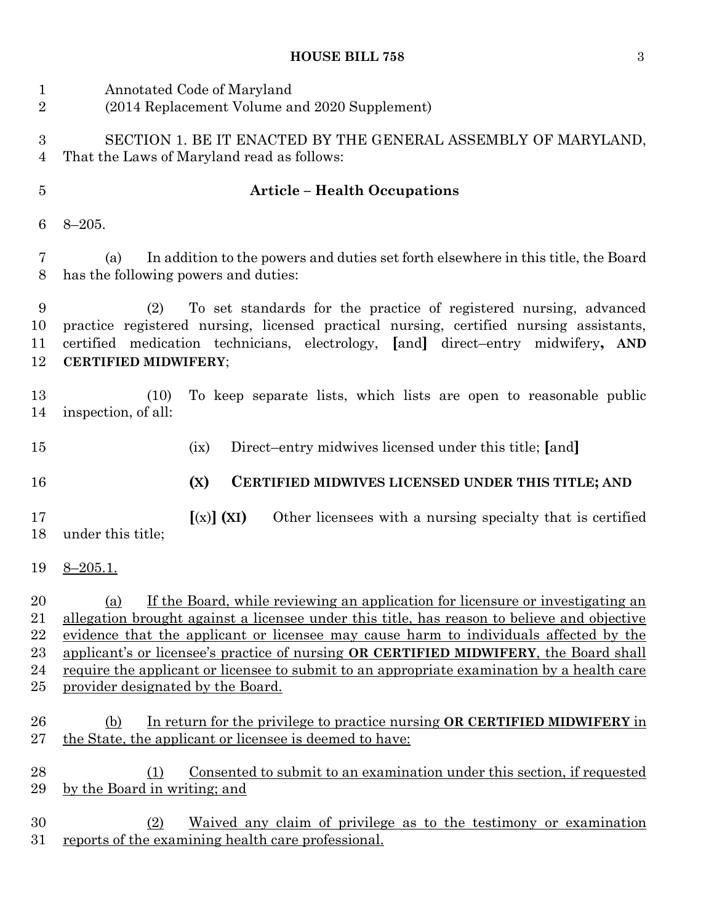| $\mathbf 1$<br>$\overline{2}$ | Annotated Code of Maryland<br>(2014 Replacement Volume and 2020 Supplement)                                                                                                                                                                                                                                                                                                                                      |
|-------------------------------|------------------------------------------------------------------------------------------------------------------------------------------------------------------------------------------------------------------------------------------------------------------------------------------------------------------------------------------------------------------------------------------------------------------|
| 3<br>4                        | SECTION 1. BE IT ENACTED BY THE GENERAL ASSEMBLY OF MARYLAND,<br>That the Laws of Maryland read as follows:                                                                                                                                                                                                                                                                                                      |
| $\overline{5}$                | <b>Article - Health Occupations</b>                                                                                                                                                                                                                                                                                                                                                                              |
| 6                             | $8 - 205.$                                                                                                                                                                                                                                                                                                                                                                                                       |
| 7<br>8                        | In addition to the powers and duties set forth elsewhere in this title, the Board<br>(a)<br>has the following powers and duties:                                                                                                                                                                                                                                                                                 |
| 9<br>10<br>11<br>12           | To set standards for the practice of registered nursing, advanced<br>(2)<br>practice registered nursing, licensed practical nursing, certified nursing assistants,<br>certified medication technicians, electrology, [and] direct-entry midwifery, AND<br><b>CERTIFIED MIDWIFERY;</b>                                                                                                                            |
| 13<br>14                      | To keep separate lists, which lists are open to reasonable public<br>(10)<br>inspection, of all:                                                                                                                                                                                                                                                                                                                 |
| 15                            | Direct-entry midwives licensed under this title; [and]<br>(ix)                                                                                                                                                                                                                                                                                                                                                   |
| 16                            | (X)<br>CERTIFIED MIDWIVES LICENSED UNDER THIS TITLE; AND                                                                                                                                                                                                                                                                                                                                                         |
| 17<br>18                      | $[(x)]$ (XI)<br>Other licensees with a nursing specialty that is certified<br>under this title;                                                                                                                                                                                                                                                                                                                  |
| 19                            | $8 - 205.1.$                                                                                                                                                                                                                                                                                                                                                                                                     |
| 20<br>21                      | (a) If the Board, while reviewing an application for licensure or investigating an                                                                                                                                                                                                                                                                                                                               |
| 22<br>23<br>24<br>$25\,$      | allegation brought against a licensee under this title, has reason to believe and objective<br>evidence that the applicant or licensee may cause harm to individuals affected by the<br>applicant's or licensee's practice of nursing OR CERTIFIED MIDWIFERY, the Board shall<br>require the applicant or licensee to submit to an appropriate examination by a health care<br>provider designated by the Board. |
| 26<br>$27\,$                  | In return for the privilege to practice nursing OR CERTIFIED MIDWIFERY in<br>(b)<br>the State, the applicant or licensee is deemed to have:                                                                                                                                                                                                                                                                      |
| 28<br>29                      | <u>Consented to submit to an examination under this section, if requested</u><br>(1)<br>by the Board in writing; and                                                                                                                                                                                                                                                                                             |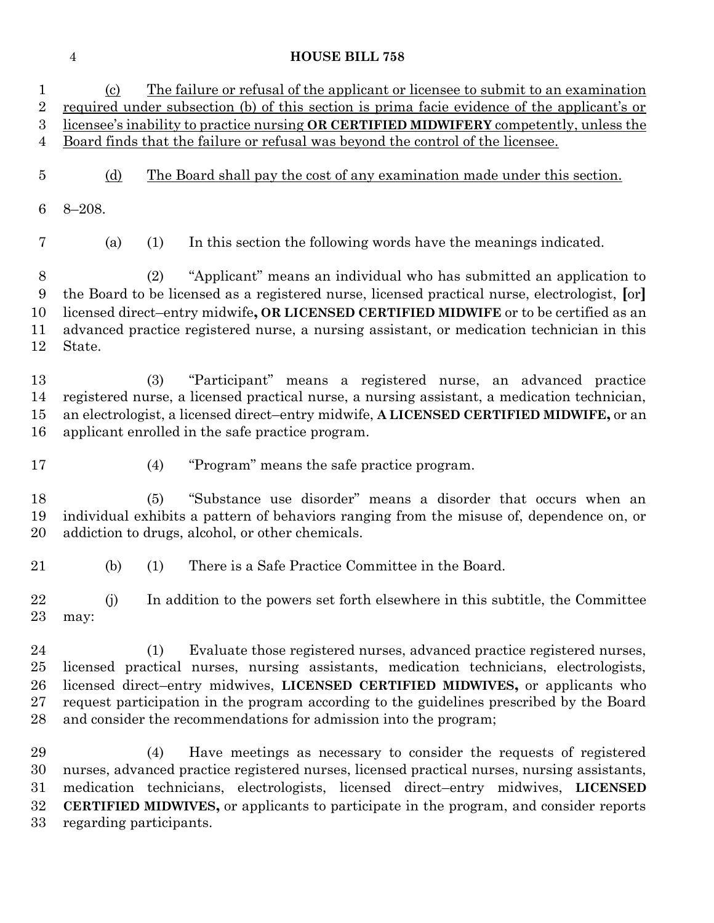(c) The failure or refusal of the applicant or licensee to submit to an examination required under subsection (b) of this section is prima facie evidence of the applicant's or licensee's inability to practice nursing **OR CERTIFIED MIDWIFERY** competently, unless the Board finds that the failure or refusal was beyond the control of the licensee. (d) The Board shall pay the cost of any examination made under this section. 8–208. (a) (1) In this section the following words have the meanings indicated. (2) "Applicant" means an individual who has submitted an application to the Board to be licensed as a registered nurse, licensed practical nurse, electrologist, **[**or**]** licensed direct–entry midwife**, OR LICENSED CERTIFIED MIDWIFE** or to be certified as an advanced practice registered nurse, a nursing assistant, or medication technician in this State. (3) "Participant" means a registered nurse, an advanced practice registered nurse, a licensed practical nurse, a nursing assistant, a medication technician, an electrologist, a licensed direct–entry midwife, **A LICENSED CERTIFIED MIDWIFE,** or an applicant enrolled in the safe practice program. (4) "Program" means the safe practice program. (5) "Substance use disorder" means a disorder that occurs when an individual exhibits a pattern of behaviors ranging from the misuse of, dependence on, or addiction to drugs, alcohol, or other chemicals. (b) (1) There is a Safe Practice Committee in the Board. (j) In addition to the powers set forth elsewhere in this subtitle, the Committee may: (1) Evaluate those registered nurses, advanced practice registered nurses, licensed practical nurses, nursing assistants, medication technicians, electrologists, licensed direct–entry midwives, **LICENSED CERTIFIED MIDWIVES,** or applicants who request participation in the program according to the guidelines prescribed by the Board and consider the recommendations for admission into the program; (4) Have meetings as necessary to consider the requests of registered nurses, advanced practice registered nurses, licensed practical nurses, nursing assistants, medication technicians, electrologists, licensed direct–entry midwives, **LICENSED CERTIFIED MIDWIVES,** or applicants to participate in the program, and consider reports regarding participants.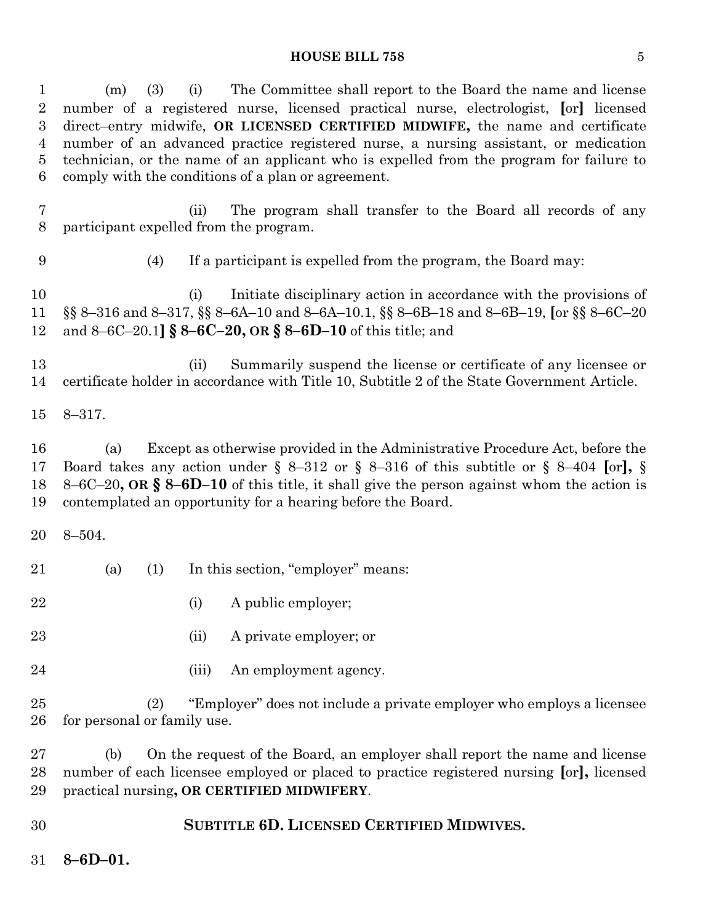| 1<br>$\overline{2}$<br>$\boldsymbol{3}$<br>$\overline{4}$<br>$\overline{5}$<br>6 | The Committee shall report to the Board the name and license<br>(3)<br>(i)<br>(m)<br>number of a registered nurse, licensed practical nurse, electrologist, [or] licensed<br>direct-entry midwife, OR LICENSED CERTIFIED MIDWIFE, the name and certificate<br>number of an advanced practice registered nurse, a nursing assistant, or medication<br>technician, or the name of an applicant who is expelled from the program for failure to<br>comply with the conditions of a plan or agreement. |
|----------------------------------------------------------------------------------|----------------------------------------------------------------------------------------------------------------------------------------------------------------------------------------------------------------------------------------------------------------------------------------------------------------------------------------------------------------------------------------------------------------------------------------------------------------------------------------------------|
| $\overline{7}$<br>8                                                              | The program shall transfer to the Board all records of any<br>(ii)<br>participant expelled from the program.                                                                                                                                                                                                                                                                                                                                                                                       |
| 9                                                                                | If a participant is expelled from the program, the Board may:<br>(4)                                                                                                                                                                                                                                                                                                                                                                                                                               |
| 10<br>11<br>12                                                                   | Initiate disciplinary action in accordance with the provisions of<br>(i)<br>§§ 8-316 and 8-317, §§ 8-6A-10 and 8-6A-10.1, §§ 8-6B-18 and 8-6B-19, [or §§ 8-6C-20<br>and 8–6C–20.1] § 8–6C–20, OR § 8–6D–10 of this title; and                                                                                                                                                                                                                                                                      |
| 13<br>14                                                                         | Summarily suspend the license or certificate of any licensee or<br>(ii)<br>certificate holder in accordance with Title 10, Subtitle 2 of the State Government Article.                                                                                                                                                                                                                                                                                                                             |
| 15                                                                               | $8 - 317.$                                                                                                                                                                                                                                                                                                                                                                                                                                                                                         |
| 16<br>17<br>18<br>19                                                             | Except as otherwise provided in the Administrative Procedure Act, before the<br>(a)<br>Board takes any action under § 8-312 or § 8-316 of this subtitle or § 8-404 [or], §<br>8–6C–20, OR $\S$ 8–6D–10 of this title, it shall give the person against whom the action is<br>contemplated an opportunity for a hearing before the Board.                                                                                                                                                           |
| 20                                                                               | $8 - 504.$                                                                                                                                                                                                                                                                                                                                                                                                                                                                                         |
| 21                                                                               | In this section, "employer" means:<br>(1)<br>(a)                                                                                                                                                                                                                                                                                                                                                                                                                                                   |
| 22                                                                               | (i) A public employer;                                                                                                                                                                                                                                                                                                                                                                                                                                                                             |
| 23                                                                               | A private employer; or<br>(ii)                                                                                                                                                                                                                                                                                                                                                                                                                                                                     |
| 24                                                                               | An employment agency.<br>(iii)                                                                                                                                                                                                                                                                                                                                                                                                                                                                     |
| 25<br>26                                                                         | "Employer" does not include a private employer who employs a licensee<br>(2)<br>for personal or family use.                                                                                                                                                                                                                                                                                                                                                                                        |
| 27<br>28<br>29                                                                   | On the request of the Board, an employer shall report the name and license<br>(b)<br>number of each licensee employed or placed to practice registered nursing [or], licensed<br>practical nursing, OR CERTIFIED MIDWIFERY.                                                                                                                                                                                                                                                                        |
| 30                                                                               | SUBTITLE 6D. LICENSED CERTIFIED MIDWIVES.                                                                                                                                                                                                                                                                                                                                                                                                                                                          |
| 31                                                                               | $8 - 6D - 01.$                                                                                                                                                                                                                                                                                                                                                                                                                                                                                     |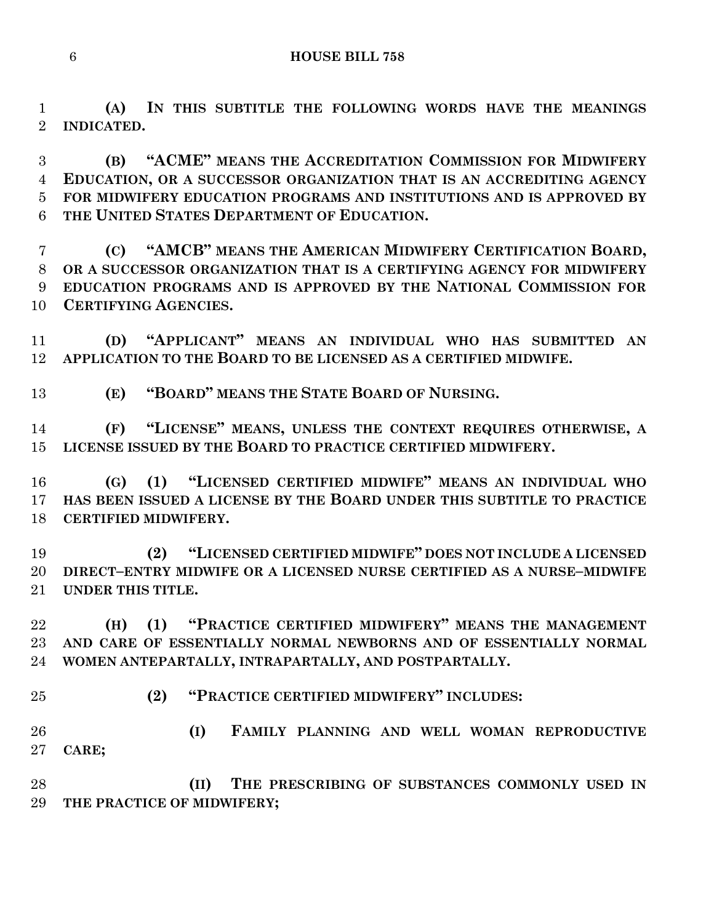**(A) IN THIS SUBTITLE THE FOLLOWING WORDS HAVE THE MEANINGS INDICATED.**

 **(B) "ACME" MEANS THE ACCREDITATION COMMISSION FOR MIDWIFERY EDUCATION, OR A SUCCESSOR ORGANIZATION THAT IS AN ACCREDITING AGENCY FOR MIDWIFERY EDUCATION PROGRAMS AND INSTITUTIONS AND IS APPROVED BY THE UNITED STATES DEPARTMENT OF EDUCATION.**

 **(C) "AMCB" MEANS THE AMERICAN MIDWIFERY CERTIFICATION BOARD, OR A SUCCESSOR ORGANIZATION THAT IS A CERTIFYING AGENCY FOR MIDWIFERY EDUCATION PROGRAMS AND IS APPROVED BY THE NATIONAL COMMISSION FOR CERTIFYING AGENCIES.**

 **(D) "APPLICANT" MEANS AN INDIVIDUAL WHO HAS SUBMITTED AN APPLICATION TO THE BOARD TO BE LICENSED AS A CERTIFIED MIDWIFE.**

**(E) "BOARD" MEANS THE STATE BOARD OF NURSING.**

 **(F) "LICENSE" MEANS, UNLESS THE CONTEXT REQUIRES OTHERWISE, A LICENSE ISSUED BY THE BOARD TO PRACTICE CERTIFIED MIDWIFERY.**

 **(G) (1) "LICENSED CERTIFIED MIDWIFE" MEANS AN INDIVIDUAL WHO HAS BEEN ISSUED A LICENSE BY THE BOARD UNDER THIS SUBTITLE TO PRACTICE CERTIFIED MIDWIFERY.**

 **(2) "LICENSED CERTIFIED MIDWIFE" DOES NOT INCLUDE A LICENSED DIRECT–ENTRY MIDWIFE OR A LICENSED NURSE CERTIFIED AS A NURSE–MIDWIFE UNDER THIS TITLE.**

 **(H) (1) "PRACTICE CERTIFIED MIDWIFERY" MEANS THE MANAGEMENT AND CARE OF ESSENTIALLY NORMAL NEWBORNS AND OF ESSENTIALLY NORMAL WOMEN ANTEPARTALLY, INTRAPARTALLY, AND POSTPARTALLY.**

**(2) "PRACTICE CERTIFIED MIDWIFERY" INCLUDES:**

 **(I) FAMILY PLANNING AND WELL WOMAN REPRODUCTIVE CARE;**

 **(II) THE PRESCRIBING OF SUBSTANCES COMMONLY USED IN THE PRACTICE OF MIDWIFERY;**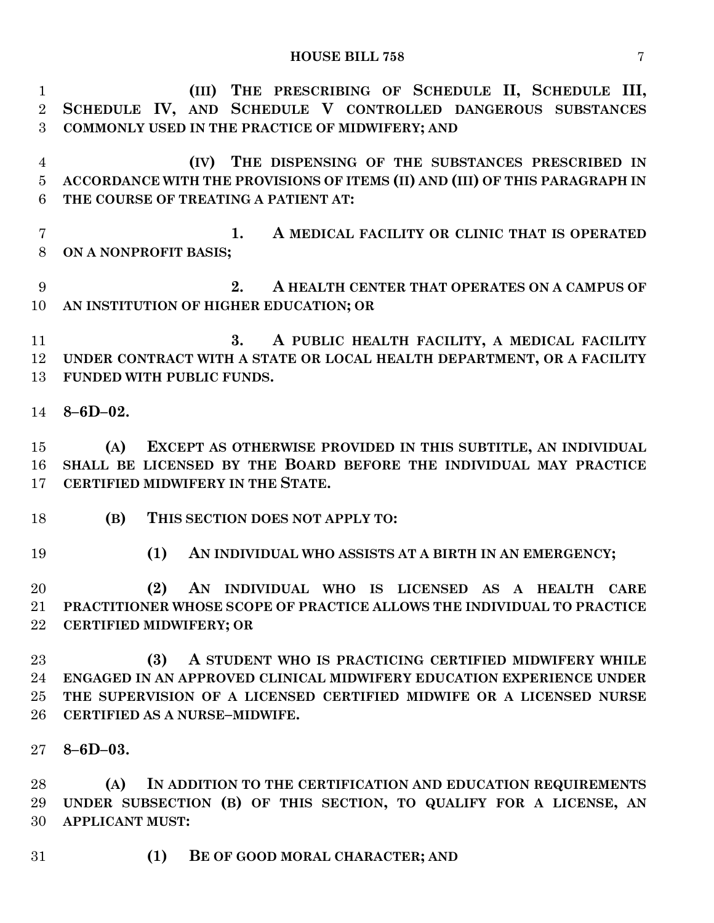| $\mathbf{1}$   | (III) THE PRESCRIBING OF SCHEDULE II, SCHEDULE III,                         |
|----------------|-----------------------------------------------------------------------------|
| $\overline{2}$ | SCHEDULE IV, AND SCHEDULE V CONTROLLED DANGEROUS SUBSTANCES                 |
| 3              | COMMONLY USED IN THE PRACTICE OF MIDWIFERY; AND                             |
| $\overline{4}$ | (IV) THE DISPENSING OF THE SUBSTANCES PRESCRIBED IN                         |
| $\overline{5}$ | ACCORDANCE WITH THE PROVISIONS OF ITEMS (II) AND (III) OF THIS PARAGRAPH IN |
| 6              | THE COURSE OF TREATING A PATIENT AT:                                        |
| $\overline{7}$ | A MEDICAL FACILITY OR CLINIC THAT IS OPERATED<br>1.                         |
| 8              | ON A NONPROFIT BASIS;                                                       |
| 9              | 2.<br>A HEALTH CENTER THAT OPERATES ON A CAMPUS OF                          |
| 10             | AN INSTITUTION OF HIGHER EDUCATION; OR                                      |
| 11             | A PUBLIC HEALTH FACILITY, A MEDICAL FACILITY<br>3.                          |
| 12             | UNDER CONTRACT WITH A STATE OR LOCAL HEALTH DEPARTMENT, OR A FACILITY       |
| 13             | FUNDED WITH PUBLIC FUNDS.                                                   |
| 14             | $8 - 6D - 02.$                                                              |
| 15             | EXCEPT AS OTHERWISE PROVIDED IN THIS SUBTITLE, AN INDIVIDUAL<br>(A)         |
| 16             | SHALL BE LICENSED BY THE BOARD BEFORE THE INDIVIDUAL MAY PRACTICE           |
| $17 \,$        | CERTIFIED MIDWIFERY IN THE STATE.                                           |
| 18             | (B)<br>THIS SECTION DOES NOT APPLY TO:                                      |
| 19             | (1)<br>AN INDIVIDUAL WHO ASSISTS AT A BIRTH IN AN EMERGENCY;                |
| 20             | (2)<br>AN INDIVIDUAL WHO IS LICENSED AS A HEALTH<br><b>CARE</b>             |
|                | 21 PRACTITIONER WHOSE SCOPE OF PRACTICE ALLOWS THE INDIVIDUAL TO PRACTICE   |
| $22\,$         | <b>CERTIFIED MIDWIFERY; OR</b>                                              |
| 23             | A STUDENT WHO IS PRACTICING CERTIFIED MIDWIFERY WHILE<br>(3)                |
| 24             | ENGAGED IN AN APPROVED CLINICAL MIDWIFERY EDUCATION EXPERIENCE UNDER        |
| 25             | THE SUPERVISION OF A LICENSED CERTIFIED MIDWIFE OR A LICENSED NURSE         |
| $26\,$         | CERTIFIED AS A NURSE-MIDWIFE.                                               |
| $27\,$         | $8 - 6D - 03.$                                                              |
| 28             | IN ADDITION TO THE CERTIFICATION AND EDUCATION REQUIREMENTS<br>(A)          |
| 29             | UNDER SUBSECTION (B) OF THIS SECTION, TO QUALIFY FOR A LICENSE, AN          |
| 30             | <b>APPLICANT MUST:</b>                                                      |
|                |                                                                             |

**(1) BE OF GOOD MORAL CHARACTER; AND**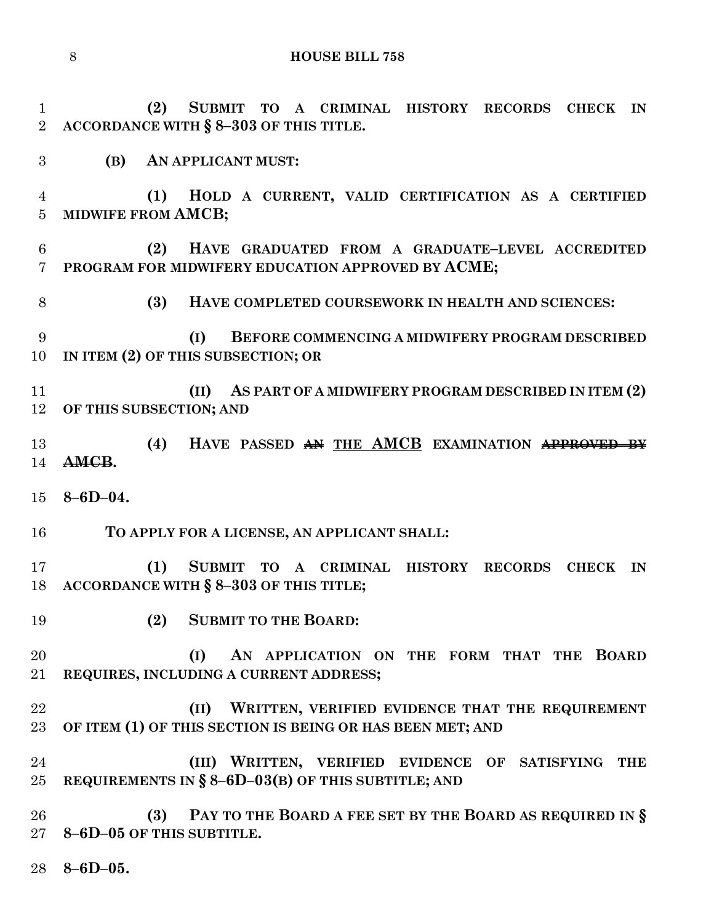**(2) SUBMIT TO A CRIMINAL HISTORY RECORDS CHECK IN ACCORDANCE WITH § 8–303 OF THIS TITLE. (B) AN APPLICANT MUST: (1) HOLD A CURRENT, VALID CERTIFICATION AS A CERTIFIED MIDWIFE FROM AMCB; (2) HAVE GRADUATED FROM A GRADUATE–LEVEL ACCREDITED PROGRAM FOR MIDWIFERY EDUCATION APPROVED BY ACME; (3) HAVE COMPLETED COURSEWORK IN HEALTH AND SCIENCES: (I) BEFORE COMMENCING A MIDWIFERY PROGRAM DESCRIBED IN ITEM (2) OF THIS SUBSECTION; OR (II) AS PART OF A MIDWIFERY PROGRAM DESCRIBED IN ITEM (2) OF THIS SUBSECTION; AND (4) HAVE PASSED AN THE AMCB EXAMINATION APPROVED BY AMCB. 8–6D–04. TO APPLY FOR A LICENSE, AN APPLICANT SHALL: (1) SUBMIT TO A CRIMINAL HISTORY RECORDS CHECK IN ACCORDANCE WITH § 8–303 OF THIS TITLE; (2) SUBMIT TO THE BOARD: (I) AN APPLICATION ON THE FORM THAT THE BOARD REQUIRES, INCLUDING A CURRENT ADDRESS; (II) WRITTEN, VERIFIED EVIDENCE THAT THE REQUIREMENT OF ITEM (1) OF THIS SECTION IS BEING OR HAS BEEN MET; AND (III) WRITTEN, VERIFIED EVIDENCE OF SATISFYING THE REQUIREMENTS IN § 8–6D–03(B) OF THIS SUBTITLE; AND (3) PAY TO THE BOARD A FEE SET BY THE BOARD AS REQUIRED IN § 8–6D–05 OF THIS SUBTITLE.**

**8–6D–05.**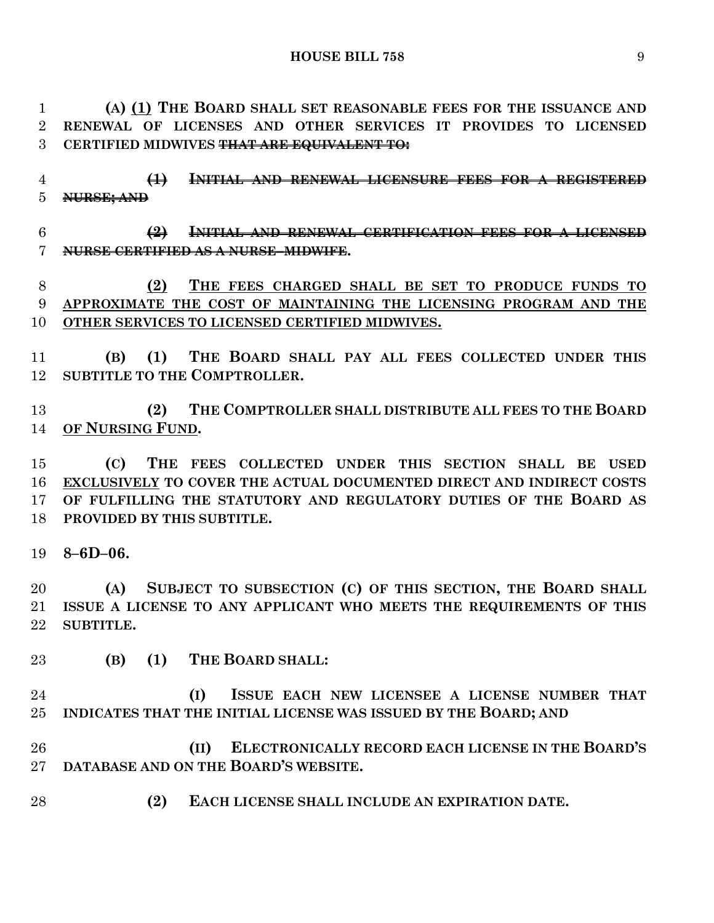**(A) (1) THE BOARD SHALL SET REASONABLE FEES FOR THE ISSUANCE AND RENEWAL OF LICENSES AND OTHER SERVICES IT PROVIDES TO LICENSED CERTIFIED MIDWIVES THAT ARE EQUIVALENT TO:**

 **(1) INITIAL AND RENEWAL LICENSURE FEES FOR A REGISTERED NURSE; AND**

# **(2) INITIAL AND RENEWAL CERTIFICATION FEES FOR A LICENSED NURSE CERTIFIED AS A NURSE–MIDWIFE.**

# **(2) THE FEES CHARGED SHALL BE SET TO PRODUCE FUNDS TO APPROXIMATE THE COST OF MAINTAINING THE LICENSING PROGRAM AND THE OTHER SERVICES TO LICENSED CERTIFIED MIDWIVES.**

 **(B) (1) THE BOARD SHALL PAY ALL FEES COLLECTED UNDER THIS SUBTITLE TO THE COMPTROLLER.**

 **(2) THE COMPTROLLER SHALL DISTRIBUTE ALL FEES TO THE BOARD OF NURSING FUND.**

 **(C) THE FEES COLLECTED UNDER THIS SECTION SHALL BE USED EXCLUSIVELY TO COVER THE ACTUAL DOCUMENTED DIRECT AND INDIRECT COSTS OF FULFILLING THE STATUTORY AND REGULATORY DUTIES OF THE BOARD AS PROVIDED BY THIS SUBTITLE.**

**8–6D–06.**

 **(A) SUBJECT TO SUBSECTION (C) OF THIS SECTION, THE BOARD SHALL ISSUE A LICENSE TO ANY APPLICANT WHO MEETS THE REQUIREMENTS OF THIS SUBTITLE.**

**(B) (1) THE BOARD SHALL:**

 **(I) ISSUE EACH NEW LICENSEE A LICENSE NUMBER THAT INDICATES THAT THE INITIAL LICENSE WAS ISSUED BY THE BOARD; AND** 

 **(II) ELECTRONICALLY RECORD EACH LICENSE IN THE BOARD'S DATABASE AND ON THE BOARD'S WEBSITE.**

**(2) EACH LICENSE SHALL INCLUDE AN EXPIRATION DATE.**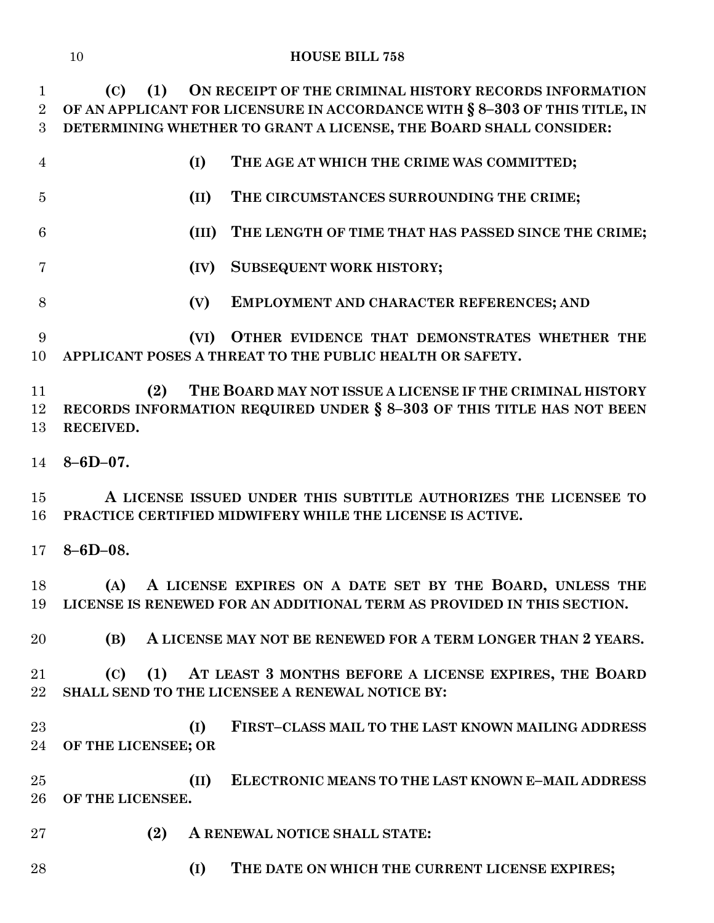| $\mathbf{1}$   | ON RECEIPT OF THE CRIMINAL HISTORY RECORDS INFORMATION<br>$\left( \mathrm{C}\right)$<br>(1)                                                            |
|----------------|--------------------------------------------------------------------------------------------------------------------------------------------------------|
| $\overline{2}$ | OF AN APPLICANT FOR LICENSURE IN ACCORDANCE WITH § 8-303 OF THIS TITLE, IN                                                                             |
| 3              | DETERMINING WHETHER TO GRANT A LICENSE, THE BOARD SHALL CONSIDER:                                                                                      |
| $\overline{4}$ | (I)<br>THE AGE AT WHICH THE CRIME WAS COMMITTED;                                                                                                       |
| $\overline{5}$ | (II)<br>THE CIRCUMSTANCES SURROUNDING THE CRIME;                                                                                                       |
| 6              | (III)<br>THE LENGTH OF TIME THAT HAS PASSED SINCE THE CRIME;                                                                                           |
| $\overline{7}$ | <b>SUBSEQUENT WORK HISTORY;</b><br>(IV)                                                                                                                |
| 8              | (V)<br>EMPLOYMENT AND CHARACTER REFERENCES; AND                                                                                                        |
| 9<br>10        | OTHER EVIDENCE THAT DEMONSTRATES WHETHER THE<br>(VI)<br>APPLICANT POSES A THREAT TO THE PUBLIC HEALTH OR SAFETY.                                       |
| 11<br>12<br>13 | (2)<br>THE BOARD MAY NOT ISSUE A LICENSE IF THE CRIMINAL HISTORY<br>RECORDS INFORMATION REQUIRED UNDER § 8-303 OF THIS TITLE HAS NOT BEEN<br>RECEIVED. |
| 14             | $8 - 6D - 07.$                                                                                                                                         |
| 15<br>16       | A LICENSE ISSUED UNDER THIS SUBTITLE AUTHORIZES THE LICENSEE TO<br>PRACTICE CERTIFIED MIDWIFERY WHILE THE LICENSE IS ACTIVE.                           |
| 17             | $8 - 6D - 08.$                                                                                                                                         |
| 18             | A LICENSE EXPIRES ON A DATE SET BY THE BOARD, UNLESS THE<br>(A)<br>19 LICENSE IS RENEWED FOR AN ADDITIONAL TERM AS PROVIDED IN THIS SECTION.           |
| 20             | A LICENSE MAY NOT BE RENEWED FOR A TERM LONGER THAN 2 YEARS.<br>(B)                                                                                    |
| 21<br>22       | (1) AT LEAST 3 MONTHS BEFORE A LICENSE EXPIRES, THE BOARD<br>(C)<br>SHALL SEND TO THE LICENSEE A RENEWAL NOTICE BY:                                    |
| 23<br>24       | FIRST-CLASS MAIL TO THE LAST KNOWN MAILING ADDRESS<br>(I)<br>OF THE LICENSEE; OR                                                                       |
| 25<br>26       | ELECTRONIC MEANS TO THE LAST KNOWN E-MAIL ADDRESS<br>(II)<br>OF THE LICENSEE.                                                                          |
| 27             | (2)<br>A RENEWAL NOTICE SHALL STATE:                                                                                                                   |
| 28             | (I)<br>THE DATE ON WHICH THE CURRENT LICENSE EXPIRES;                                                                                                  |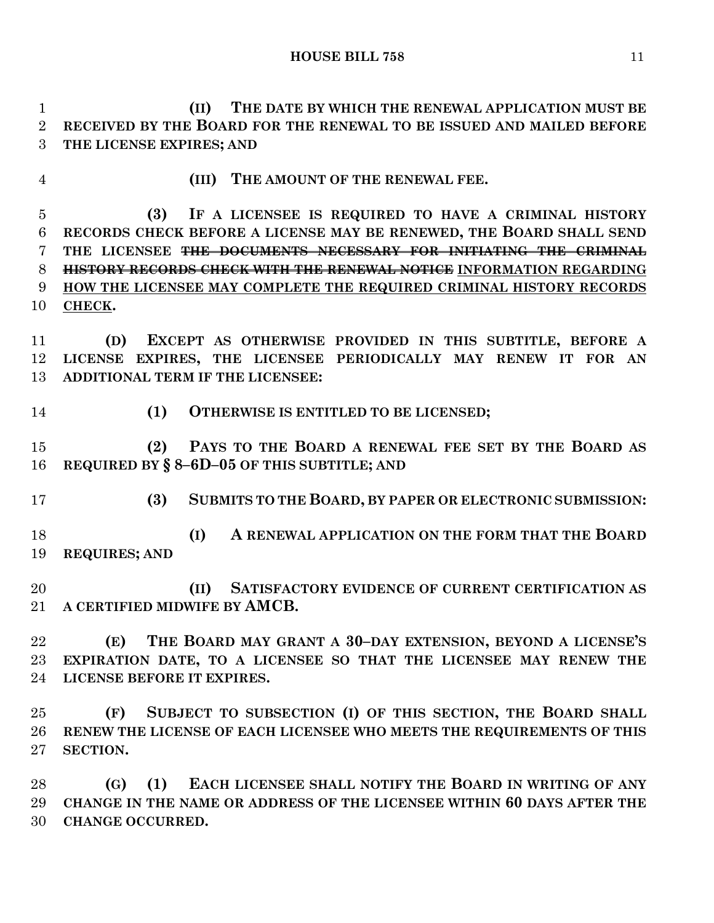**(II) THE DATE BY WHICH THE RENEWAL APPLICATION MUST BE RECEIVED BY THE BOARD FOR THE RENEWAL TO BE ISSUED AND MAILED BEFORE THE LICENSE EXPIRES; AND**

**(III) THE AMOUNT OF THE RENEWAL FEE.**

 **(3) IF A LICENSEE IS REQUIRED TO HAVE A CRIMINAL HISTORY RECORDS CHECK BEFORE A LICENSE MAY BE RENEWED, THE BOARD SHALL SEND THE LICENSEE THE DOCUMENTS NECESSARY FOR INITIATING THE CRIMINAL HISTORY RECORDS CHECK WITH THE RENEWAL NOTICE INFORMATION REGARDING HOW THE LICENSEE MAY COMPLETE THE REQUIRED CRIMINAL HISTORY RECORDS CHECK.**

 **(D) EXCEPT AS OTHERWISE PROVIDED IN THIS SUBTITLE, BEFORE A LICENSE EXPIRES, THE LICENSEE PERIODICALLY MAY RENEW IT FOR AN ADDITIONAL TERM IF THE LICENSEE:**

**(1) OTHERWISE IS ENTITLED TO BE LICENSED;**

 **(2) PAYS TO THE BOARD A RENEWAL FEE SET BY THE BOARD AS REQUIRED BY § 8–6D–05 OF THIS SUBTITLE; AND**

**(3) SUBMITS TO THE BOARD, BY PAPER OR ELECTRONIC SUBMISSION:**

 **(I) A RENEWAL APPLICATION ON THE FORM THAT THE BOARD REQUIRES; AND**

 **(II) SATISFACTORY EVIDENCE OF CURRENT CERTIFICATION AS A CERTIFIED MIDWIFE BY AMCB.**

 **(E) THE BOARD MAY GRANT A 30–DAY EXTENSION, BEYOND A LICENSE'S EXPIRATION DATE, TO A LICENSEE SO THAT THE LICENSEE MAY RENEW THE LICENSE BEFORE IT EXPIRES.**

 **(F) SUBJECT TO SUBSECTION (I) OF THIS SECTION, THE BOARD SHALL RENEW THE LICENSE OF EACH LICENSEE WHO MEETS THE REQUIREMENTS OF THIS SECTION.**

 **(G) (1) EACH LICENSEE SHALL NOTIFY THE BOARD IN WRITING OF ANY CHANGE IN THE NAME OR ADDRESS OF THE LICENSEE WITHIN 60 DAYS AFTER THE CHANGE OCCURRED.**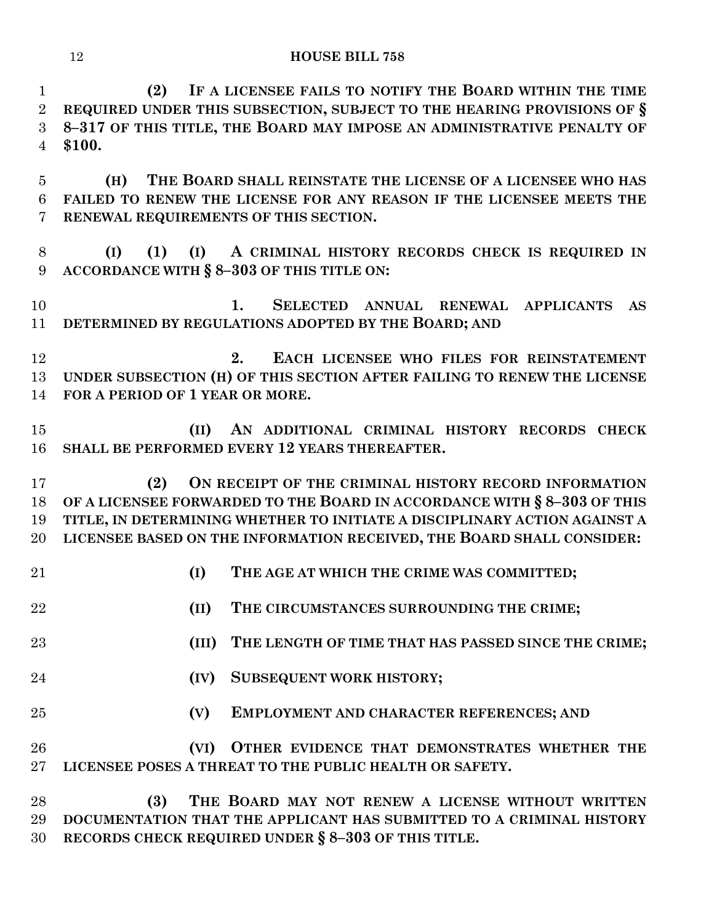**(2) IF A LICENSEE FAILS TO NOTIFY THE BOARD WITHIN THE TIME REQUIRED UNDER THIS SUBSECTION, SUBJECT TO THE HEARING PROVISIONS OF § 8–317 OF THIS TITLE, THE BOARD MAY IMPOSE AN ADMINISTRATIVE PENALTY OF \$100.**

 **(H) THE BOARD SHALL REINSTATE THE LICENSE OF A LICENSEE WHO HAS FAILED TO RENEW THE LICENSE FOR ANY REASON IF THE LICENSEE MEETS THE RENEWAL REQUIREMENTS OF THIS SECTION.**

 **(I) (1) (I) A CRIMINAL HISTORY RECORDS CHECK IS REQUIRED IN ACCORDANCE WITH § 8–303 OF THIS TITLE ON:**

 **1. SELECTED ANNUAL RENEWAL APPLICANTS AS DETERMINED BY REGULATIONS ADOPTED BY THE BOARD; AND**

 **2. EACH LICENSEE WHO FILES FOR REINSTATEMENT UNDER SUBSECTION (H) OF THIS SECTION AFTER FAILING TO RENEW THE LICENSE FOR A PERIOD OF 1 YEAR OR MORE.**

 **(II) AN ADDITIONAL CRIMINAL HISTORY RECORDS CHECK SHALL BE PERFORMED EVERY 12 YEARS THEREAFTER.**

 **(2) ON RECEIPT OF THE CRIMINAL HISTORY RECORD INFORMATION OF A LICENSEE FORWARDED TO THE BOARD IN ACCORDANCE WITH § 8–303 OF THIS TITLE, IN DETERMINING WHETHER TO INITIATE A DISCIPLINARY ACTION AGAINST A LICENSEE BASED ON THE INFORMATION RECEIVED, THE BOARD SHALL CONSIDER:**

- **(I) THE AGE AT WHICH THE CRIME WAS COMMITTED;**
- **(II) THE CIRCUMSTANCES SURROUNDING THE CRIME;**
- **(III) THE LENGTH OF TIME THAT HAS PASSED SINCE THE CRIME;**
- **(IV) SUBSEQUENT WORK HISTORY;**
- **(V) EMPLOYMENT AND CHARACTER REFERENCES; AND**

 **(VI) OTHER EVIDENCE THAT DEMONSTRATES WHETHER THE LICENSEE POSES A THREAT TO THE PUBLIC HEALTH OR SAFETY.**

 **(3) THE BOARD MAY NOT RENEW A LICENSE WITHOUT WRITTEN DOCUMENTATION THAT THE APPLICANT HAS SUBMITTED TO A CRIMINAL HISTORY RECORDS CHECK REQUIRED UNDER § 8–303 OF THIS TITLE.**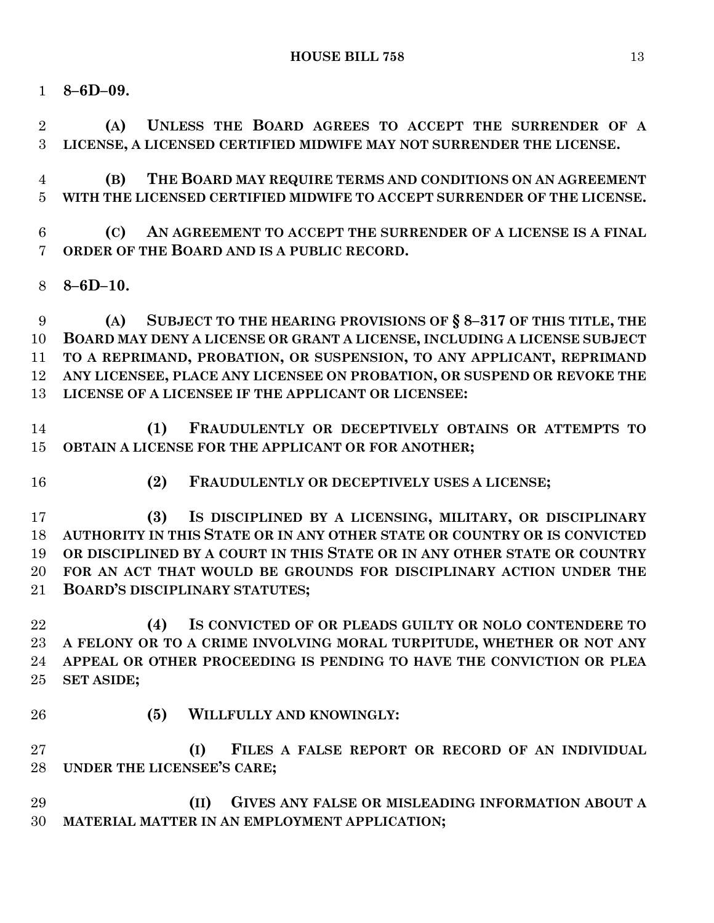**8–6D–09.**

 **(A) UNLESS THE BOARD AGREES TO ACCEPT THE SURRENDER OF A LICENSE, A LICENSED CERTIFIED MIDWIFE MAY NOT SURRENDER THE LICENSE.**

 **(B) THE BOARD MAY REQUIRE TERMS AND CONDITIONS ON AN AGREEMENT WITH THE LICENSED CERTIFIED MIDWIFE TO ACCEPT SURRENDER OF THE LICENSE.**

 **(C) AN AGREEMENT TO ACCEPT THE SURRENDER OF A LICENSE IS A FINAL ORDER OF THE BOARD AND IS A PUBLIC RECORD.**

**8–6D–10.**

 **(A) SUBJECT TO THE HEARING PROVISIONS OF § 8–317 OF THIS TITLE, THE BOARD MAY DENY A LICENSE OR GRANT A LICENSE, INCLUDING A LICENSE SUBJECT TO A REPRIMAND, PROBATION, OR SUSPENSION, TO ANY APPLICANT, REPRIMAND ANY LICENSEE, PLACE ANY LICENSEE ON PROBATION, OR SUSPEND OR REVOKE THE LICENSE OF A LICENSEE IF THE APPLICANT OR LICENSEE:**

 **(1) FRAUDULENTLY OR DECEPTIVELY OBTAINS OR ATTEMPTS TO OBTAIN A LICENSE FOR THE APPLICANT OR FOR ANOTHER;**

**(2) FRAUDULENTLY OR DECEPTIVELY USES A LICENSE;**

 **(3) IS DISCIPLINED BY A LICENSING, MILITARY, OR DISCIPLINARY AUTHORITY IN THIS STATE OR IN ANY OTHER STATE OR COUNTRY OR IS CONVICTED OR DISCIPLINED BY A COURT IN THIS STATE OR IN ANY OTHER STATE OR COUNTRY FOR AN ACT THAT WOULD BE GROUNDS FOR DISCIPLINARY ACTION UNDER THE BOARD'S DISCIPLINARY STATUTES;**

 **(4) IS CONVICTED OF OR PLEADS GUILTY OR NOLO CONTENDERE TO A FELONY OR TO A CRIME INVOLVING MORAL TURPITUDE, WHETHER OR NOT ANY APPEAL OR OTHER PROCEEDING IS PENDING TO HAVE THE CONVICTION OR PLEA SET ASIDE;**

- 
- **(5) WILLFULLY AND KNOWINGLY:**

 **(I) FILES A FALSE REPORT OR RECORD OF AN INDIVIDUAL UNDER THE LICENSEE'S CARE;**

 **(II) GIVES ANY FALSE OR MISLEADING INFORMATION ABOUT A MATERIAL MATTER IN AN EMPLOYMENT APPLICATION;**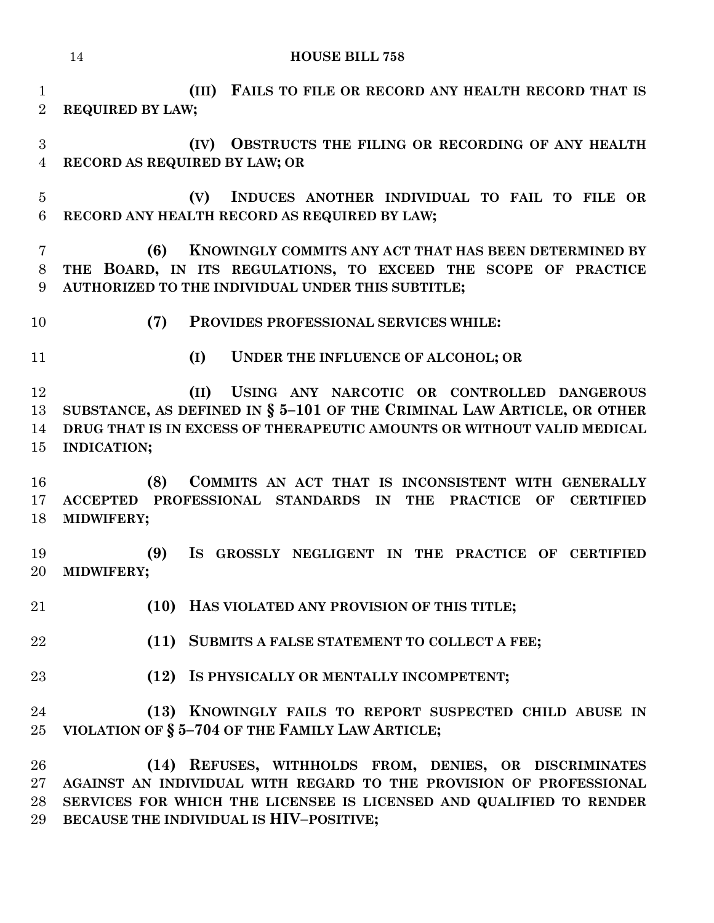| $\mathbf{1}$<br>$\overline{2}$ | FAILS TO FILE OR RECORD ANY HEALTH RECORD THAT IS<br>(III)<br><b>REQUIRED BY LAW;</b>                                                                                                                                           |
|--------------------------------|---------------------------------------------------------------------------------------------------------------------------------------------------------------------------------------------------------------------------------|
| 3<br>$\overline{4}$            | OBSTRUCTS THE FILING OR RECORDING OF ANY HEALTH<br>(IV)<br>RECORD AS REQUIRED BY LAW; OR                                                                                                                                        |
| $\overline{5}$<br>6            | INDUCES ANOTHER INDIVIDUAL TO FAIL TO FILE OR<br>(V)<br>RECORD ANY HEALTH RECORD AS REQUIRED BY LAW;                                                                                                                            |
| 7<br>8<br>9                    | KNOWINGLY COMMITS ANY ACT THAT HAS BEEN DETERMINED BY<br>(6)<br>THE BOARD, IN ITS REGULATIONS, TO EXCEED THE SCOPE OF PRACTICE<br>AUTHORIZED TO THE INDIVIDUAL UNDER THIS SUBTITLE;                                             |
| 10                             | (7)<br>PROVIDES PROFESSIONAL SERVICES WHILE:                                                                                                                                                                                    |
| 11                             | (I)<br>UNDER THE INFLUENCE OF ALCOHOL; OR                                                                                                                                                                                       |
| 12<br>13<br>14<br>15           | USING ANY NARCOTIC OR CONTROLLED DANGEROUS<br>(II)<br>SUBSTANCE, AS DEFINED IN $\S$ 5-101 OF THE CRIMINAL LAW ARTICLE, OR OTHER<br>DRUG THAT IS IN EXCESS OF THERAPEUTIC AMOUNTS OR WITHOUT VALID MEDICAL<br><b>INDICATION;</b> |
| 16<br>17<br>18                 | (8)<br>COMMITS AN ACT THAT IS INCONSISTENT WITH GENERALLY<br>PROFESSIONAL STANDARDS IN<br><b>ACCEPTED</b><br><b>THE</b><br><b>PRACTICE</b><br><b>CERTIFIED</b><br>OF<br>MIDWIFERY;                                              |
| 19<br>20                       | (9)<br>IS GROSSLY NEGLIGENT IN THE PRACTICE OF CERTIFIED<br>MIDWIFERY;                                                                                                                                                          |
| $21\,$                         | (10) HAS VIOLATED ANY PROVISION OF THIS TITLE;                                                                                                                                                                                  |
| 22                             | (11) SUBMITS A FALSE STATEMENT TO COLLECT A FEE;                                                                                                                                                                                |
| 23                             | IS PHYSICALLY OR MENTALLY INCOMPETENT;<br>(12)                                                                                                                                                                                  |
| 24<br>25                       | (13) KNOWINGLY FAILS TO REPORT SUSPECTED CHILD ABUSE IN<br>VIOLATION OF § 5-704 OF THE FAMILY LAW ARTICLE;                                                                                                                      |
| 26<br>$27\,$<br>28             | (14) REFUSES, WITHHOLDS FROM, DENIES, OR DISCRIMINATES<br>AGAINST AN INDIVIDUAL WITH REGARD TO THE PROVISION OF PROFESSIONAL<br>SERVICES FOR WHICH THE LICENSEE IS LICENSED AND QUALIFIED TO RENDER                             |

**BECAUSE THE INDIVIDUAL IS HIV–POSITIVE;**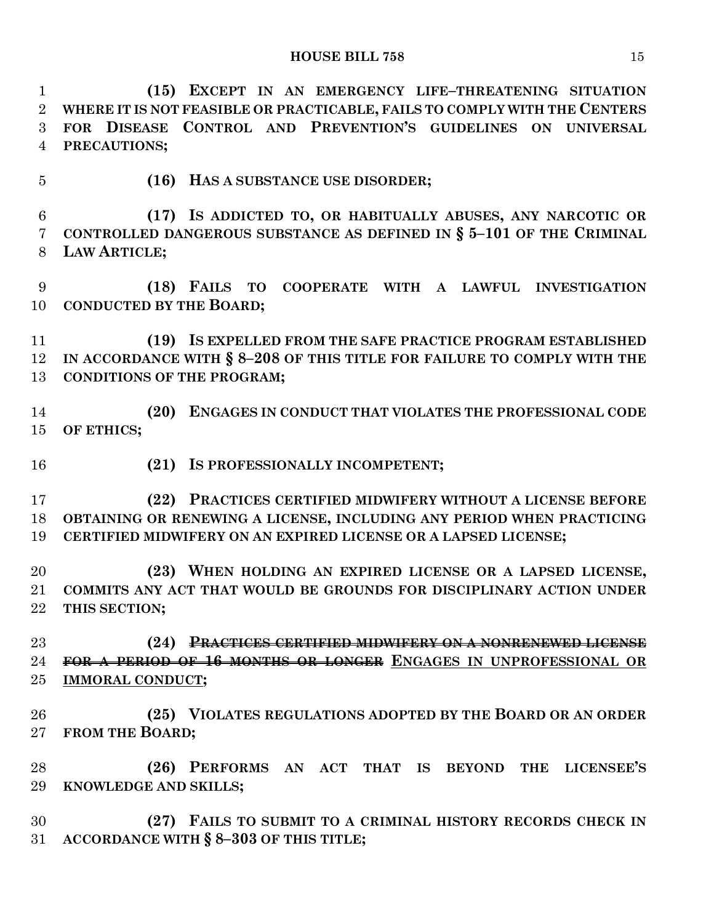**(15) EXCEPT IN AN EMERGENCY LIFE–THREATENING SITUATION WHERE IT IS NOT FEASIBLE OR PRACTICABLE, FAILS TO COMPLY WITH THE CENTERS FOR DISEASE CONTROL AND PREVENTION'S GUIDELINES ON UNIVERSAL PRECAUTIONS;**

**(16) HAS A SUBSTANCE USE DISORDER;**

 **(17) IS ADDICTED TO, OR HABITUALLY ABUSES, ANY NARCOTIC OR CONTROLLED DANGEROUS SUBSTANCE AS DEFINED IN § 5–101 OF THE CRIMINAL LAW ARTICLE;**

 **(18) FAILS TO COOPERATE WITH A LAWFUL INVESTIGATION CONDUCTED BY THE BOARD;**

 **(19) IS EXPELLED FROM THE SAFE PRACTICE PROGRAM ESTABLISHED IN ACCORDANCE WITH § 8–208 OF THIS TITLE FOR FAILURE TO COMPLY WITH THE CONDITIONS OF THE PROGRAM;**

 **(20) ENGAGES IN CONDUCT THAT VIOLATES THE PROFESSIONAL CODE OF ETHICS;**

**(21) IS PROFESSIONALLY INCOMPETENT;**

 **(22) PRACTICES CERTIFIED MIDWIFERY WITHOUT A LICENSE BEFORE OBTAINING OR RENEWING A LICENSE, INCLUDING ANY PERIOD WHEN PRACTICING CERTIFIED MIDWIFERY ON AN EXPIRED LICENSE OR A LAPSED LICENSE;**

 **(23) WHEN HOLDING AN EXPIRED LICENSE OR A LAPSED LICENSE, COMMITS ANY ACT THAT WOULD BE GROUNDS FOR DISCIPLINARY ACTION UNDER THIS SECTION;**

 **(24) PRACTICES CERTIFIED MIDWIFERY ON A NONRENEWED LICENSE FOR A PERIOD OF 16 MONTHS OR LONGER ENGAGES IN UNPROFESSIONAL OR IMMORAL CONDUCT;**

 **(25) VIOLATES REGULATIONS ADOPTED BY THE BOARD OR AN ORDER FROM THE BOARD;**

 **(26) PERFORMS AN ACT THAT IS BEYOND THE LICENSEE'S KNOWLEDGE AND SKILLS;**

 **(27) FAILS TO SUBMIT TO A CRIMINAL HISTORY RECORDS CHECK IN ACCORDANCE WITH § 8–303 OF THIS TITLE;**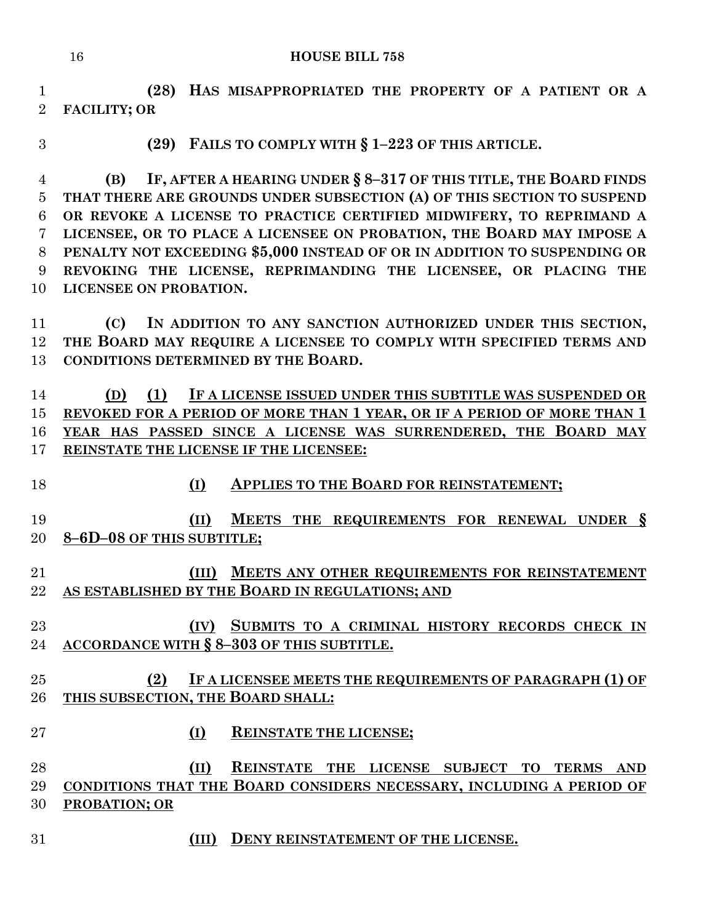**(28) HAS MISAPPROPRIATED THE PROPERTY OF A PATIENT OR A FACILITY; OR** 

**(29) FAILS TO COMPLY WITH § 1–223 OF THIS ARTICLE.**

 **(B) IF, AFTER A HEARING UNDER § 8–317 OF THIS TITLE, THE BOARD FINDS THAT THERE ARE GROUNDS UNDER SUBSECTION (A) OF THIS SECTION TO SUSPEND OR REVOKE A LICENSE TO PRACTICE CERTIFIED MIDWIFERY, TO REPRIMAND A LICENSEE, OR TO PLACE A LICENSEE ON PROBATION, THE BOARD MAY IMPOSE A PENALTY NOT EXCEEDING \$5,000 INSTEAD OF OR IN ADDITION TO SUSPENDING OR REVOKING THE LICENSE, REPRIMANDING THE LICENSEE, OR PLACING THE LICENSEE ON PROBATION.**

 **(C) IN ADDITION TO ANY SANCTION AUTHORIZED UNDER THIS SECTION, THE BOARD MAY REQUIRE A LICENSEE TO COMPLY WITH SPECIFIED TERMS AND CONDITIONS DETERMINED BY THE BOARD.**

 **(D) (1) IF A LICENSE ISSUED UNDER THIS SUBTITLE WAS SUSPENDED OR REVOKED FOR A PERIOD OF MORE THAN 1 YEAR, OR IF A PERIOD OF MORE THAN 1 YEAR HAS PASSED SINCE A LICENSE WAS SURRENDERED, THE BOARD MAY REINSTATE THE LICENSE IF THE LICENSEE:**

## **(I) APPLIES TO THE BOARD FOR REINSTATEMENT;**

 **(II) MEETS THE REQUIREMENTS FOR RENEWAL UNDER § 8–6D–08 OF THIS SUBTITLE;**

 **(III) MEETS ANY OTHER REQUIREMENTS FOR REINSTATEMENT AS ESTABLISHED BY THE BOARD IN REGULATIONS; AND**

 **(IV) SUBMITS TO A CRIMINAL HISTORY RECORDS CHECK IN ACCORDANCE WITH § 8–303 OF THIS SUBTITLE.**

# **(2) IF A LICENSEE MEETS THE REQUIREMENTS OF PARAGRAPH (1) OF THIS SUBSECTION, THE BOARD SHALL:**

**(I) REINSTATE THE LICENSE;**

 **(II) REINSTATE THE LICENSE SUBJECT TO TERMS AND CONDITIONS THAT THE BOARD CONSIDERS NECESSARY, INCLUDING A PERIOD OF PROBATION; OR**

**(III) DENY REINSTATEMENT OF THE LICENSE.**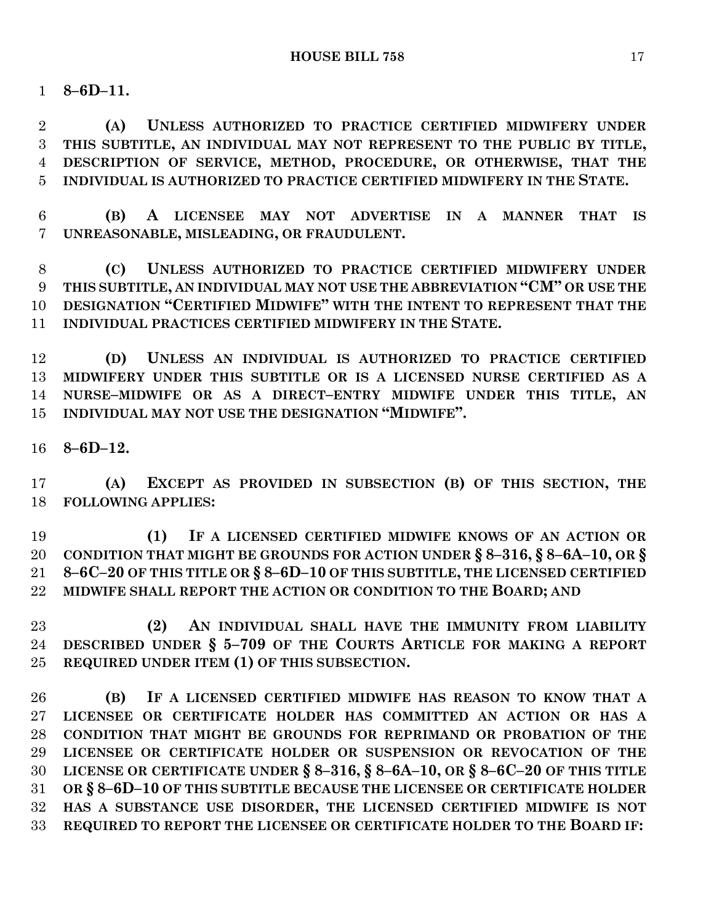**8–6D–11.**

 **(A) UNLESS AUTHORIZED TO PRACTICE CERTIFIED MIDWIFERY UNDER THIS SUBTITLE, AN INDIVIDUAL MAY NOT REPRESENT TO THE PUBLIC BY TITLE, DESCRIPTION OF SERVICE, METHOD, PROCEDURE, OR OTHERWISE, THAT THE INDIVIDUAL IS AUTHORIZED TO PRACTICE CERTIFIED MIDWIFERY IN THE STATE.**

 **(B) A LICENSEE MAY NOT ADVERTISE IN A MANNER THAT IS UNREASONABLE, MISLEADING, OR FRAUDULENT.**

 **(C) UNLESS AUTHORIZED TO PRACTICE CERTIFIED MIDWIFERY UNDER THIS SUBTITLE, AN INDIVIDUAL MAY NOT USE THE ABBREVIATION "CM" OR USE THE DESIGNATION "CERTIFIED MIDWIFE" WITH THE INTENT TO REPRESENT THAT THE INDIVIDUAL PRACTICES CERTIFIED MIDWIFERY IN THE STATE.**

 **(D) UNLESS AN INDIVIDUAL IS AUTHORIZED TO PRACTICE CERTIFIED MIDWIFERY UNDER THIS SUBTITLE OR IS A LICENSED NURSE CERTIFIED AS A NURSE–MIDWIFE OR AS A DIRECT–ENTRY MIDWIFE UNDER THIS TITLE, AN INDIVIDUAL MAY NOT USE THE DESIGNATION "MIDWIFE".**

**8–6D–12.**

 **(A) EXCEPT AS PROVIDED IN SUBSECTION (B) OF THIS SECTION, THE FOLLOWING APPLIES:**

 **(1) IF A LICENSED CERTIFIED MIDWIFE KNOWS OF AN ACTION OR CONDITION THAT MIGHT BE GROUNDS FOR ACTION UNDER § 8–316, § 8–6A–10, OR § 8–6C–20 OF THIS TITLE OR § 8–6D–10 OF THIS SUBTITLE, THE LICENSED CERTIFIED MIDWIFE SHALL REPORT THE ACTION OR CONDITION TO THE BOARD; AND** 

 **(2) AN INDIVIDUAL SHALL HAVE THE IMMUNITY FROM LIABILITY DESCRIBED UNDER § 5–709 OF THE COURTS ARTICLE FOR MAKING A REPORT REQUIRED UNDER ITEM (1) OF THIS SUBSECTION.**

 **(B) IF A LICENSED CERTIFIED MIDWIFE HAS REASON TO KNOW THAT A LICENSEE OR CERTIFICATE HOLDER HAS COMMITTED AN ACTION OR HAS A CONDITION THAT MIGHT BE GROUNDS FOR REPRIMAND OR PROBATION OF THE LICENSEE OR CERTIFICATE HOLDER OR SUSPENSION OR REVOCATION OF THE LICENSE OR CERTIFICATE UNDER § 8–316, § 8–6A–10, OR § 8–6C–20 OF THIS TITLE OR § 8–6D–10 OF THIS SUBTITLE BECAUSE THE LICENSEE OR CERTIFICATE HOLDER HAS A SUBSTANCE USE DISORDER, THE LICENSED CERTIFIED MIDWIFE IS NOT REQUIRED TO REPORT THE LICENSEE OR CERTIFICATE HOLDER TO THE BOARD IF:**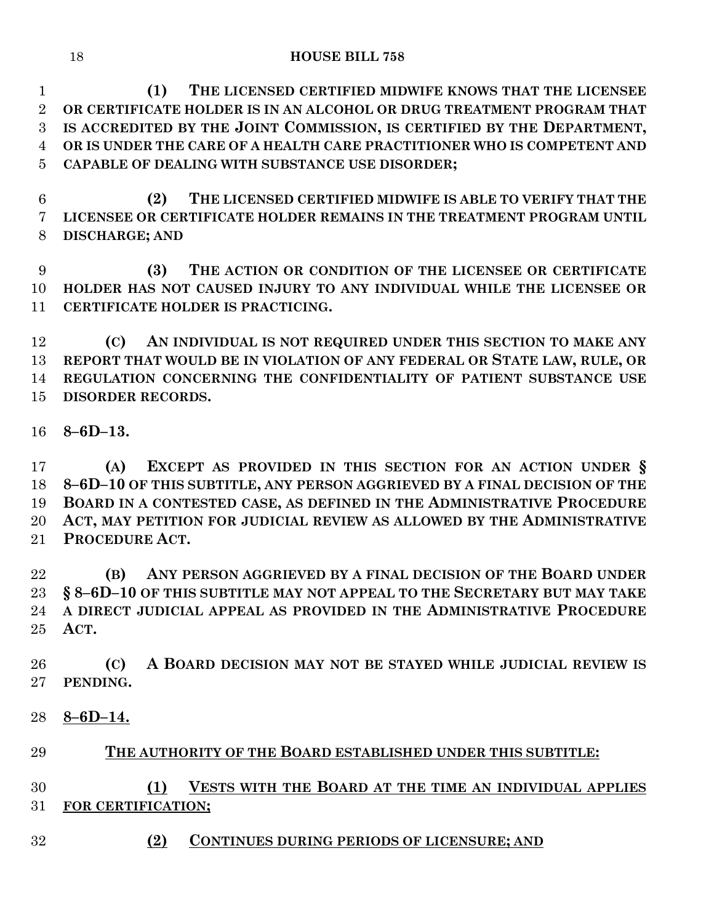**(1) THE LICENSED CERTIFIED MIDWIFE KNOWS THAT THE LICENSEE OR CERTIFICATE HOLDER IS IN AN ALCOHOL OR DRUG TREATMENT PROGRAM THAT IS ACCREDITED BY THE JOINT COMMISSION, IS CERTIFIED BY THE DEPARTMENT, OR IS UNDER THE CARE OF A HEALTH CARE PRACTITIONER WHO IS COMPETENT AND CAPABLE OF DEALING WITH SUBSTANCE USE DISORDER;**

 **(2) THE LICENSED CERTIFIED MIDWIFE IS ABLE TO VERIFY THAT THE LICENSEE OR CERTIFICATE HOLDER REMAINS IN THE TREATMENT PROGRAM UNTIL DISCHARGE; AND** 

 **(3) THE ACTION OR CONDITION OF THE LICENSEE OR CERTIFICATE HOLDER HAS NOT CAUSED INJURY TO ANY INDIVIDUAL WHILE THE LICENSEE OR CERTIFICATE HOLDER IS PRACTICING.**

 **(C) AN INDIVIDUAL IS NOT REQUIRED UNDER THIS SECTION TO MAKE ANY REPORT THAT WOULD BE IN VIOLATION OF ANY FEDERAL OR STATE LAW, RULE, OR REGULATION CONCERNING THE CONFIDENTIALITY OF PATIENT SUBSTANCE USE DISORDER RECORDS.**

**8–6D–13.**

 **(A) EXCEPT AS PROVIDED IN THIS SECTION FOR AN ACTION UNDER § 8–6D–10 OF THIS SUBTITLE, ANY PERSON AGGRIEVED BY A FINAL DECISION OF THE BOARD IN A CONTESTED CASE, AS DEFINED IN THE ADMINISTRATIVE PROCEDURE ACT, MAY PETITION FOR JUDICIAL REVIEW AS ALLOWED BY THE ADMINISTRATIVE PROCEDURE ACT.**

 **(B) ANY PERSON AGGRIEVED BY A FINAL DECISION OF THE BOARD UNDER § 8–6D–10 OF THIS SUBTITLE MAY NOT APPEAL TO THE SECRETARY BUT MAY TAKE A DIRECT JUDICIAL APPEAL AS PROVIDED IN THE ADMINISTRATIVE PROCEDURE ACT.**

 **(C) A BOARD DECISION MAY NOT BE STAYED WHILE JUDICIAL REVIEW IS PENDING.**

**8–6D–14.**

# **THE AUTHORITY OF THE BOARD ESTABLISHED UNDER THIS SUBTITLE:**

 **(1) VESTS WITH THE BOARD AT THE TIME AN INDIVIDUAL APPLIES FOR CERTIFICATION;**

**(2) CONTINUES DURING PERIODS OF LICENSURE; AND**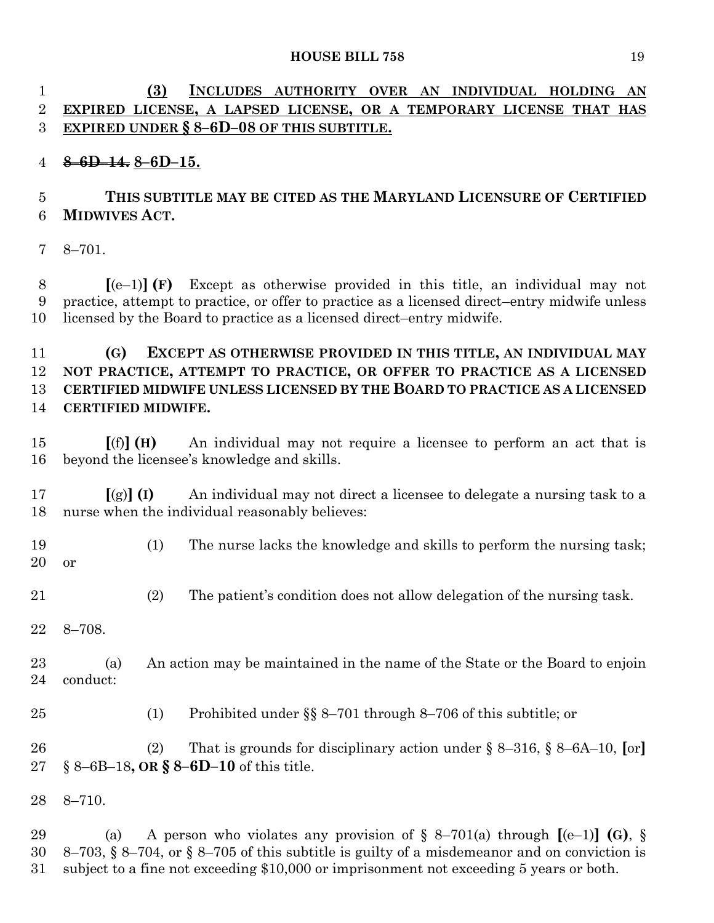# **(3) INCLUDES AUTHORITY OVER AN INDIVIDUAL HOLDING AN EXPIRED LICENSE, A LAPSED LICENSE, OR A TEMPORARY LICENSE THAT HAS EXPIRED UNDER § 8–6D–08 OF THIS SUBTITLE.**

# **8–6D–14. 8–6D–15.**

# **THIS SUBTITLE MAY BE CITED AS THE MARYLAND LICENSURE OF CERTIFIED MIDWIVES ACT.**

8–701.

 **[**(e–1)**] (F)** Except as otherwise provided in this title, an individual may not practice, attempt to practice, or offer to practice as a licensed direct–entry midwife unless licensed by the Board to practice as a licensed direct–entry midwife.

# **(G) EXCEPT AS OTHERWISE PROVIDED IN THIS TITLE, AN INDIVIDUAL MAY NOT PRACTICE, ATTEMPT TO PRACTICE, OR OFFER TO PRACTICE AS A LICENSED CERTIFIED MIDWIFE UNLESS LICENSED BY THE BOARD TO PRACTICE AS A LICENSED CERTIFIED MIDWIFE.**

 **[**(f)**] (H)** An individual may not require a licensee to perform an act that is beyond the licensee's knowledge and skills.

 **[**(g)**] (I)** An individual may not direct a licensee to delegate a nursing task to a nurse when the individual reasonably believes:

- (1) The nurse lacks the knowledge and skills to perform the nursing task; or
- (2) The patient's condition does not allow delegation of the nursing task.
- 8–708.

 (a) An action may be maintained in the name of the State or the Board to enjoin conduct:

(1) Prohibited under §§ 8–701 through 8–706 of this subtitle; or

 (2) That is grounds for disciplinary action under § 8–316, § 8–6A–10, **[**or**]** § 8–6B–18**, OR § 8–6D–10** of this title.

8–710.

 (a) A person who violates any provision of § 8–701(a) through **[**(e–1)**] (G)**, § 8–703, § 8–704, or § 8–705 of this subtitle is guilty of a misdemeanor and on conviction is subject to a fine not exceeding \$10,000 or imprisonment not exceeding 5 years or both.